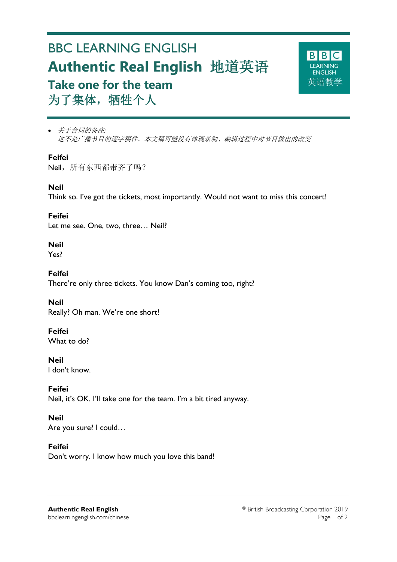# BBC LEARNING ENGLISH **Authentic Real English** 地道英语 **Take one for the team** 为了集体,牺牲个人



 关于台词的备注*:* 这不是广播节目的逐字稿件。本文稿可能没有体现录制、编辑过程中对节目做出的改变。

## **Feifei**

Neil, 所有东西都带齐了吗?

# **Neil**

Think so. I've got the tickets, most importantly. Would not want to miss this concert!

**Feifei** Let me see. One, two, three… Neil?

# **Neil**

Yes?

**Feifei** There're only three tickets. You know Dan's coming too, right?

**Neil** Really? Oh man. We're one short!

# **Feifei**

What to do?

**Neil** I don't know.

# **Feifei**

Neil, it's OK. I'll take one for the team. I'm a bit tired anyway.

## **Neil**

Are you sure? I could…

## **Feifei**

Don't worry. I know how much you love this band!